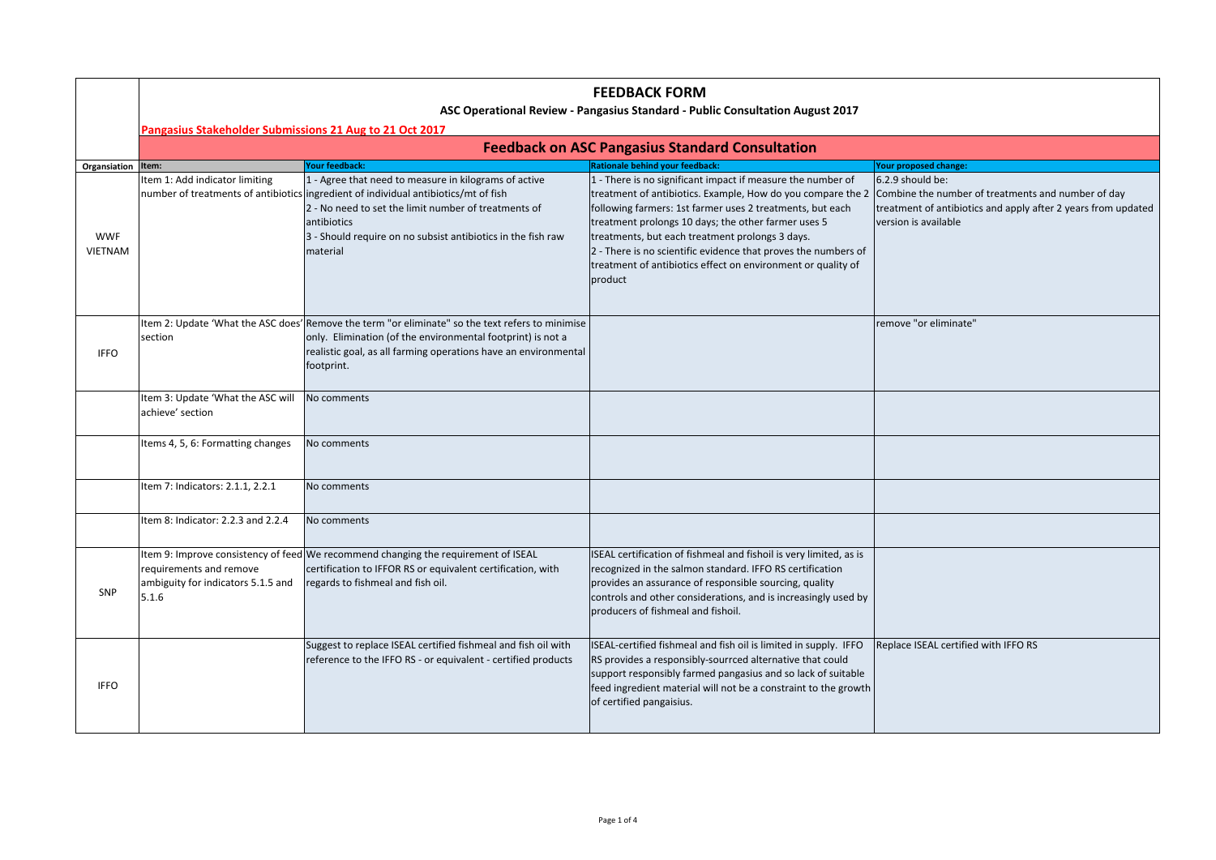|                              | <b>FEEDBACK FORM</b><br>ASC Operational Review - Pangasius Standard - Public Consultation August 2017 |                                                                                                                                                                                                                                                                                                 |                                                                                                                                                                                                                                                                                                                                                                                                                                                                                                   |                                                                                                           |  |  |
|------------------------------|-------------------------------------------------------------------------------------------------------|-------------------------------------------------------------------------------------------------------------------------------------------------------------------------------------------------------------------------------------------------------------------------------------------------|---------------------------------------------------------------------------------------------------------------------------------------------------------------------------------------------------------------------------------------------------------------------------------------------------------------------------------------------------------------------------------------------------------------------------------------------------------------------------------------------------|-----------------------------------------------------------------------------------------------------------|--|--|
|                              | Pangasius Stakeholder Submissions 21 Aug to 21 Oct 2017                                               |                                                                                                                                                                                                                                                                                                 |                                                                                                                                                                                                                                                                                                                                                                                                                                                                                                   |                                                                                                           |  |  |
|                              | <b>Feedback on ASC Pangasius Standard Consultation</b>                                                |                                                                                                                                                                                                                                                                                                 |                                                                                                                                                                                                                                                                                                                                                                                                                                                                                                   |                                                                                                           |  |  |
| Organsiation Item:           |                                                                                                       | Your feedback:                                                                                                                                                                                                                                                                                  | Rationale behind your feedback:                                                                                                                                                                                                                                                                                                                                                                                                                                                                   | Your proposed change:                                                                                     |  |  |
| <b>WWF</b><br><b>VIETNAM</b> | Item 1: Add indicator limiting                                                                        | 1 - Agree that need to measure in kilograms of active<br>number of treatments of antibiotics ingredient of individual antibiotics/mt of fish<br>2 - No need to set the limit number of treatments of<br>antibiotics<br>3 - Should require on no subsist antibiotics in the fish raw<br>material | 1 - There is no significant impact if measure the number of<br>treatment of antibiotics. Example, How do you compare the 2 Combine the number of treatments and number of day<br>following farmers: 1st farmer uses 2 treatments, but each<br>treatment prolongs 10 days; the other farmer uses 5<br>treatments, but each treatment prolongs 3 days.<br>2 - There is no scientific evidence that proves the numbers of<br>treatment of antibiotics effect on environment or quality of<br>product | 6.2.9 should be:<br>treatment of antibiotics and apply after 2 years from updated<br>version is available |  |  |
| <b>IFFO</b>                  | section                                                                                               | Item 2: Update 'What the ASC does' Remove the term "or eliminate" so the text refers to minimise<br>only. Elimination (of the environmental footprint) is not a<br>realistic goal, as all farming operations have an environmental<br>footprint.                                                |                                                                                                                                                                                                                                                                                                                                                                                                                                                                                                   | remove "or eliminate"                                                                                     |  |  |
|                              | Item 3: Update 'What the ASC will<br>achieve' section                                                 | No comments                                                                                                                                                                                                                                                                                     |                                                                                                                                                                                                                                                                                                                                                                                                                                                                                                   |                                                                                                           |  |  |
|                              | Items 4, 5, 6: Formatting changes                                                                     | No comments                                                                                                                                                                                                                                                                                     |                                                                                                                                                                                                                                                                                                                                                                                                                                                                                                   |                                                                                                           |  |  |
|                              | Item 7: Indicators: 2.1.1, 2.2.1                                                                      | No comments                                                                                                                                                                                                                                                                                     |                                                                                                                                                                                                                                                                                                                                                                                                                                                                                                   |                                                                                                           |  |  |
|                              | Item 8: Indicator: 2.2.3 and 2.2.4                                                                    | No comments                                                                                                                                                                                                                                                                                     |                                                                                                                                                                                                                                                                                                                                                                                                                                                                                                   |                                                                                                           |  |  |
| SNP                          | requirements and remove<br>ambiguity for indicators 5.1.5 and<br>5.1.6                                | Item 9: Improve consistency of feed We recommend changing the requirement of ISEAL<br>certification to IFFOR RS or equivalent certification, with<br>regards to fishmeal and fish oil.                                                                                                          | ISEAL certification of fishmeal and fishoil is very limited, as is<br>recognized in the salmon standard. IFFO RS certification<br>provides an assurance of responsible sourcing, quality<br>controls and other considerations, and is increasingly used by<br>producers of fishmeal and fishoil.                                                                                                                                                                                                  |                                                                                                           |  |  |
| <b>IFFO</b>                  |                                                                                                       | Suggest to replace ISEAL certified fishmeal and fish oil with<br>reference to the IFFO RS - or equivalent - certified products                                                                                                                                                                  | ISEAL-certified fishmeal and fish oil is limited in supply. IFFO<br>RS provides a responsibly-sourrced alternative that could<br>support responsibly farmed pangasius and so lack of suitable<br>feed ingredient material will not be a constraint to the growth<br>of certified pangaisius.                                                                                                                                                                                                      | Replace ISEAL certified with IFFO RS                                                                      |  |  |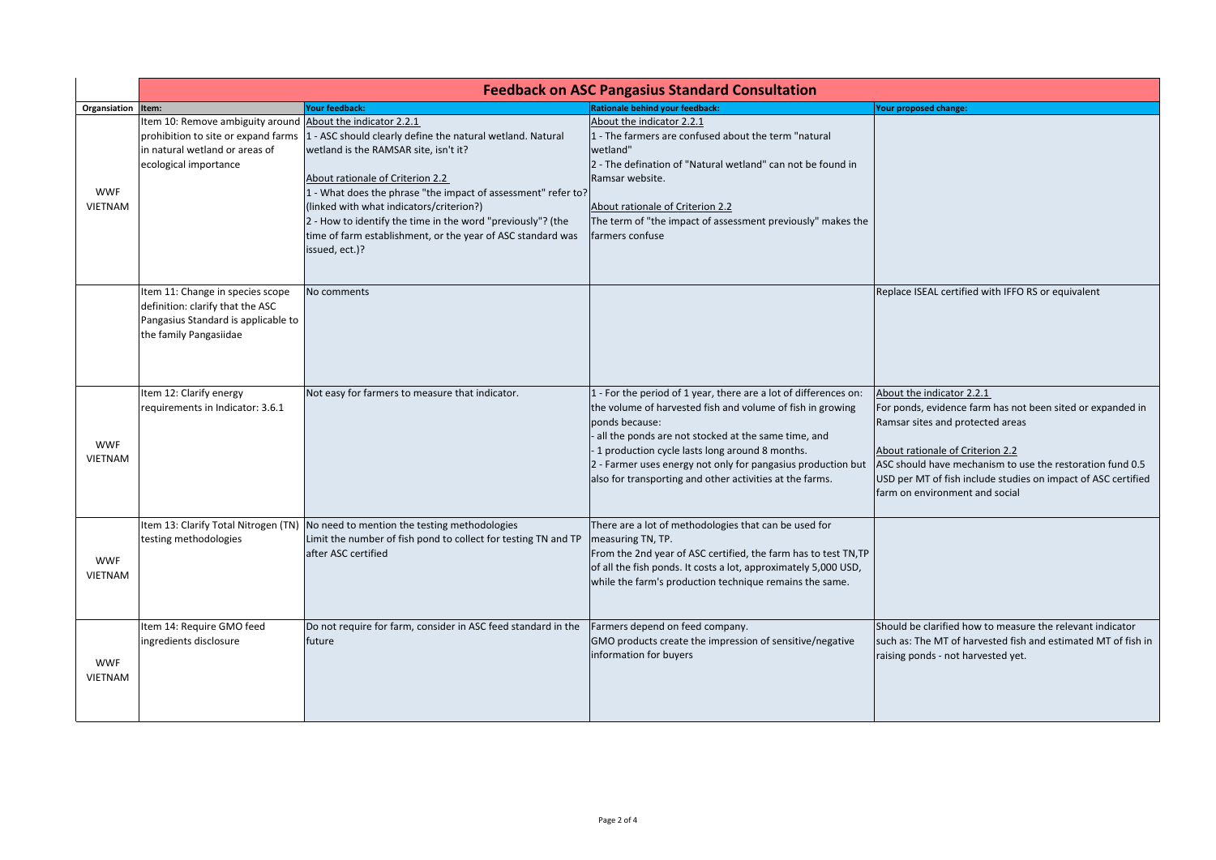|                              | <b>Feedback on ASC Pangasius Standard Consultation</b>                                                                                |                                                                                                                                                                                                                                                                                                                                                                                                                                          |                                                                                                                                                                                                                                                                                                                                                                                          |                                                                                                                                                                                                                                                                                                                                 |  |
|------------------------------|---------------------------------------------------------------------------------------------------------------------------------------|------------------------------------------------------------------------------------------------------------------------------------------------------------------------------------------------------------------------------------------------------------------------------------------------------------------------------------------------------------------------------------------------------------------------------------------|------------------------------------------------------------------------------------------------------------------------------------------------------------------------------------------------------------------------------------------------------------------------------------------------------------------------------------------------------------------------------------------|---------------------------------------------------------------------------------------------------------------------------------------------------------------------------------------------------------------------------------------------------------------------------------------------------------------------------------|--|
| Organsiation                 | Item:                                                                                                                                 | <b>Your feedback:</b>                                                                                                                                                                                                                                                                                                                                                                                                                    | <b>Rationale behind your feedback:</b>                                                                                                                                                                                                                                                                                                                                                   | Your proposed change:                                                                                                                                                                                                                                                                                                           |  |
| <b>WWF</b><br><b>VIETNAM</b> | Item 10: Remove ambiguity around About the indicator 2.2.1<br>in natural wetland or areas of<br>ecological importance                 | prohibition to site or expand farms 1 - ASC should clearly define the natural wetland. Natural<br>wetland is the RAMSAR site, isn't it?<br>About rationale of Criterion 2.2<br>1 - What does the phrase "the impact of assessment" refer to?<br>(linked with what indicators/criterion?)<br>2 - How to identify the time in the word "previously"? (the<br>time of farm establishment, or the year of ASC standard was<br>issued, ect.)? | About the indicator 2.2.1<br>L - The farmers are confused about the term "natural<br>wetland"<br>2 - The defination of "Natural wetland" can not be found in<br>Ramsar website.<br>About rationale of Criterion 2.2<br>The term of "the impact of assessment previously" makes the<br>farmers confuse                                                                                    |                                                                                                                                                                                                                                                                                                                                 |  |
|                              | Item 11: Change in species scope<br>definition: clarify that the ASC<br>Pangasius Standard is applicable to<br>the family Pangasiidae | No comments                                                                                                                                                                                                                                                                                                                                                                                                                              |                                                                                                                                                                                                                                                                                                                                                                                          | Replace ISEAL certified with IFFO RS or equivalent                                                                                                                                                                                                                                                                              |  |
| <b>WWF</b><br><b>VIETNAM</b> | Item 12: Clarify energy<br>requirements in Indicator: 3.6.1                                                                           | Not easy for farmers to measure that indicator.                                                                                                                                                                                                                                                                                                                                                                                          | 1 - For the period of 1 year, there are a lot of differences on:<br>the volume of harvested fish and volume of fish in growing<br>ponds because:<br>- all the ponds are not stocked at the same time, and<br>-1 production cycle lasts long around 8 months.<br>2 - Farmer uses energy not only for pangasius production but<br>also for transporting and other activities at the farms. | About the indicator 2.2.1<br>For ponds, evidence farm has not been sited or expanded in<br>Ramsar sites and protected areas<br>About rationale of Criterion 2.2<br>ASC should have mechanism to use the restoration fund 0.5<br>USD per MT of fish include studies on impact of ASC certified<br>farm on environment and social |  |
| <b>WWF</b><br><b>VIETNAM</b> | testing methodologies                                                                                                                 | Item 13: Clarify Total Nitrogen (TN) No need to mention the testing methodologies<br>Limit the number of fish pond to collect for testing TN and TP<br>after ASC certified                                                                                                                                                                                                                                                               | There are a lot of methodologies that can be used for<br>measuring TN, TP.<br>From the 2nd year of ASC certified, the farm has to test TN, TP<br>of all the fish ponds. It costs a lot, approximately 5,000 USD,<br>while the farm's production technique remains the same.                                                                                                              |                                                                                                                                                                                                                                                                                                                                 |  |
| <b>WWF</b><br><b>VIETNAM</b> | Item 14: Require GMO feed<br>ingredients disclosure                                                                                   | Do not require for farm, consider in ASC feed standard in the<br>future                                                                                                                                                                                                                                                                                                                                                                  | Farmers depend on feed company.<br>GMO products create the impression of sensitive/negative<br>information for buyers                                                                                                                                                                                                                                                                    | Should be clarified how to measure the relevant indicator<br>such as: The MT of harvested fish and estimated MT of fish in<br>raising ponds - not harvested yet.                                                                                                                                                                |  |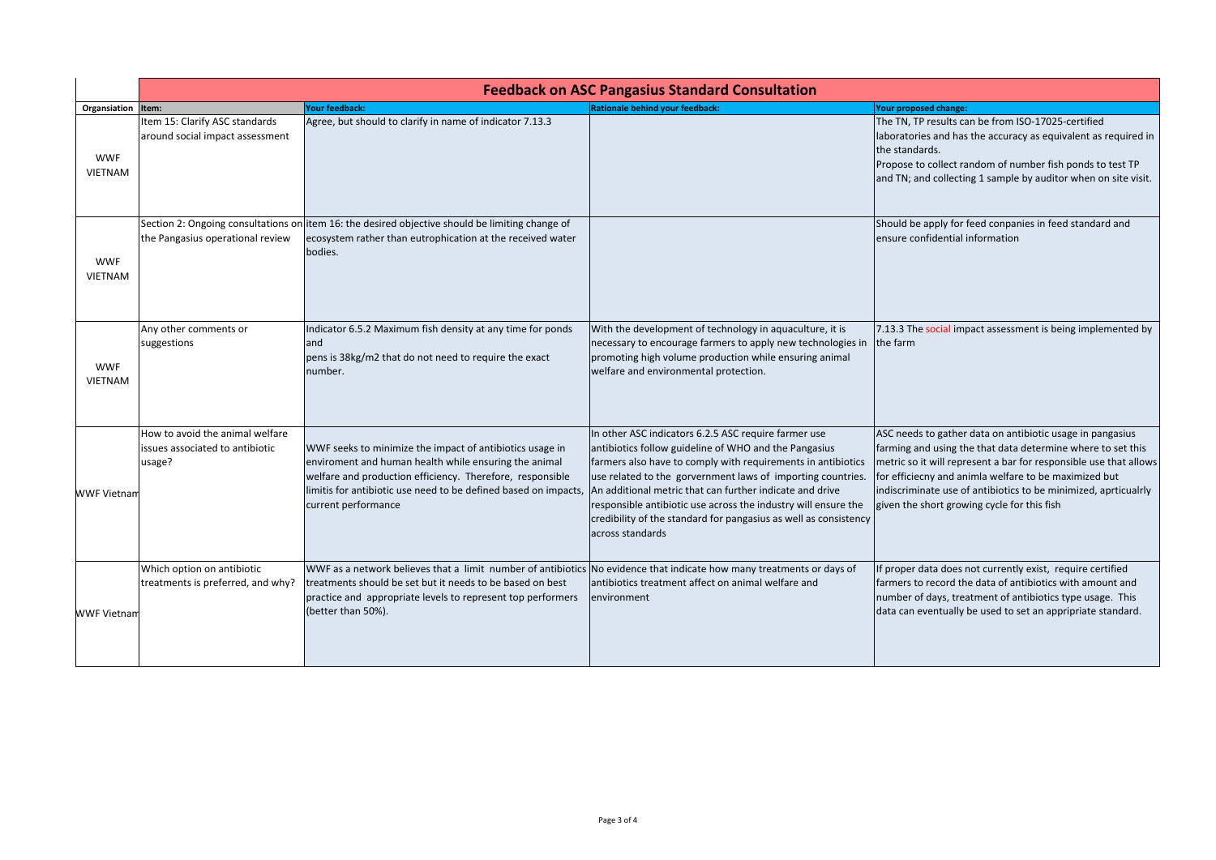|                              | <b>Feedback on ASC Pangasius Standard Consultation</b>                       |                                                                                                                                                                                                                                                                          |                                                                                                                                                                                                                                                                                                                                                                                                                                                                    |                                                                                                                                                                                                                                                                                                                                                                          |  |
|------------------------------|------------------------------------------------------------------------------|--------------------------------------------------------------------------------------------------------------------------------------------------------------------------------------------------------------------------------------------------------------------------|--------------------------------------------------------------------------------------------------------------------------------------------------------------------------------------------------------------------------------------------------------------------------------------------------------------------------------------------------------------------------------------------------------------------------------------------------------------------|--------------------------------------------------------------------------------------------------------------------------------------------------------------------------------------------------------------------------------------------------------------------------------------------------------------------------------------------------------------------------|--|
| Organsiation                 | Item:                                                                        | Your feedback:                                                                                                                                                                                                                                                           | <b>Rationale behind your feedback:</b>                                                                                                                                                                                                                                                                                                                                                                                                                             | Your proposed change:                                                                                                                                                                                                                                                                                                                                                    |  |
| <b>WWF</b><br><b>VIETNAM</b> | Item 15: Clarify ASC standards<br>around social impact assessment            | Agree, but should to clarify in name of indicator 7.13.3                                                                                                                                                                                                                 |                                                                                                                                                                                                                                                                                                                                                                                                                                                                    | The TN, TP results can be from ISO-17025-certified<br>laboratories and has the accuracy as equivalent as required in<br>the standards.<br>Propose to collect random of number fish ponds to test TP<br>and TN; and collecting 1 sample by auditor when on site visit.                                                                                                    |  |
| <b>WWF</b><br><b>VIETNAM</b> | the Pangasius operational review                                             | Section 2: Ongoing consultations on item 16: the desired objective should be limiting change of<br>ecosystem rather than eutrophication at the received water<br>bodies.                                                                                                 |                                                                                                                                                                                                                                                                                                                                                                                                                                                                    | Should be apply for feed conpanies in feed standard and<br>ensure confidential information                                                                                                                                                                                                                                                                               |  |
| <b>WWF</b><br><b>VIETNAM</b> | Any other comments or<br>suggestions                                         | Indicator 6.5.2 Maximum fish density at any time for ponds<br>and<br>pens is 38kg/m2 that do not need to require the exact<br>number.                                                                                                                                    | With the development of technology in aquaculture, it is<br>necessary to encourage farmers to apply new technologies in the farm<br>promoting high volume production while ensuring animal<br>welfare and environmental protection.                                                                                                                                                                                                                                | 7.13.3 The social impact assessment is being implemented by                                                                                                                                                                                                                                                                                                              |  |
| <b>WWF Vietnan</b>           | How to avoid the animal welfare<br>issues associated to antibiotic<br>usage? | WWF seeks to minimize the impact of antibiotics usage in<br>enviroment and human health while ensuring the animal<br>welfare and production efficiency. Therefore, responsible<br>limitis for antibiotic use need to be defined based on impacts,<br>current performance | In other ASC indicators 6.2.5 ASC require farmer use<br>antibiotics follow guideline of WHO and the Pangasius<br>farmers also have to comply with requirements in antibiotics<br>use related to the gorvernment laws of importing countries.<br>An additional metric that can further indicate and drive<br>responsible antibiotic use across the industry will ensure the<br>credibility of the standard for pangasius as well as consistency<br>across standards | ASC needs to gather data on antibiotic usage in pangasius<br>farming and using the that data determine where to set this<br>metric so it will represent a bar for responsible use that allows<br>for efficiecny and animla welfare to be maximized but<br>indiscriminate use of antibiotics to be minimized, aprticualrly<br>given the short growing cycle for this fish |  |
| <b>WWF Vietnan</b>           | Which option on antibiotic<br>treatments is preferred, and why?              | WWF as a network believes that a limit number of antibiotics No evidence that indicate how many treatments or days of<br>treatments should be set but it needs to be based on best<br>practice and appropriate levels to represent top performers<br>(better than 50%).  | antibiotics treatment affect on animal welfare and<br>environment                                                                                                                                                                                                                                                                                                                                                                                                  | If proper data does not currently exist, require certified<br>farmers to record the data of antibiotics with amount and<br>number of days, treatment of antibiotics type usage. This<br>data can eventually be used to set an appripriate standard.                                                                                                                      |  |